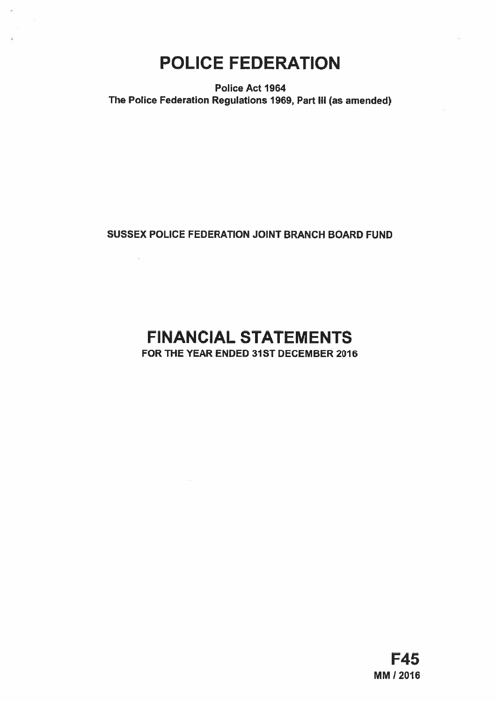# POLICE FEDERATION

Police Act 1964 The Police Federation Regulations 1969, Part Ill (as amended)

# SUSSEX POLICE FEDERATION JOINT BRANCH BOARD FUND

h.

# FINANCIAL STATEMENTS FOR THE YEAR ENDED 31ST DECEMBER 2016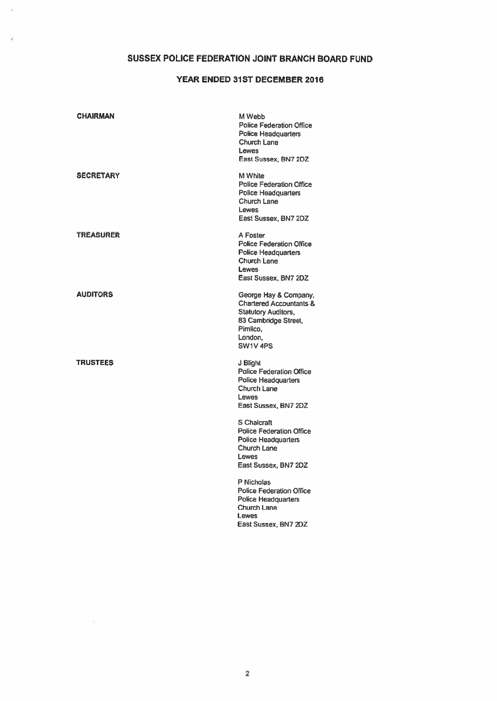# SUSSEX POLICE FEDERATION JOINT BRANCH BOARD FUND

ä

## YEAR ENDED 31ST DECEMBER 2016

| <b>CHAIRMAN</b> | M Webb<br><b>Police Federation Office</b><br><b>Police Headquarters</b><br>Church Lane<br><b>Lewes</b><br>East Sussex, BN7 2DZ                                                                                                                                          |
|-----------------|-------------------------------------------------------------------------------------------------------------------------------------------------------------------------------------------------------------------------------------------------------------------------|
| SECRETARY       | M White<br><b>Police Federation Office</b><br><b>Police Headquarters</b><br>Church Lane<br><b>Lewes</b><br>East Sussex, BN7 2DZ                                                                                                                                         |
| TRÉASURER       | A Foster<br><b>Police Federation Office</b><br><b>Police Headquarters</b><br>Church Lane<br><b>Lewes</b><br>East Sussex, BN7 2DZ                                                                                                                                        |
| AUDITORS        | George Hay & Company,<br><b>Chartered Accountants &amp;</b><br><b>Statutory Auditors,</b><br>83 Cambridge Street,<br>Pimlico.<br>London.<br>SW1V 4PS                                                                                                                    |
| <b>TRUSTEES</b> | J Blight<br><b>Police Federation Office</b><br><b>Police Headquarters</b><br>Church Lane<br><b>Lewes</b><br>East Sussex, BN7 2DZ<br>S Chalcraft<br><b>Police Federation Office</b><br><b>Police Headquarters</b><br>Church Lane<br><b>Lewes</b><br>East Sussex, BN7 2DZ |
|                 | P Nicholas<br><b>Police Federation Office</b><br><b>Police Headquarters</b><br>Church Lane<br><b>Lewes</b><br>East Sussex, BN7 2DZ                                                                                                                                      |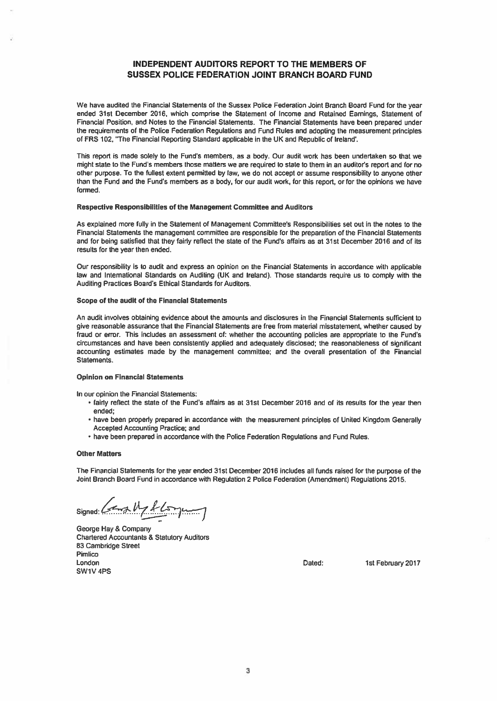## INDEPENDENT AUDITORS REPORT TO THE MEMBERS OF SUSSEX POLICE FEDERATION JOINT BRANCH BOARD FUND

We have audited the Financial Statements of the Sussex Police Federation Joint Branch Board Fund for the year ended 31st December 2016, which comprise the Statement of Income and Retained Earnings, Statement of Financial Position, and Notes to the Financial Statements. The Financial Statements have been prepared under the requirements of the Police Federation Regulations and Fund Rules and adopting the measurement principles of FRS 102, "The Financial Reporting Standard applicable in the UK and Republic of Ireland'.

This repor<sup>t</sup> is made solely to the Fund's members, as <sup>a</sup> body. Our audit work has been undertaken so that we might state to the Fund's members those matters we are required to state to them in an auditor's repor<sup>t</sup> and for no other purpose. To the fullest extent permitted by law, we do not accep<sup>t</sup> or assume responsibility to anyone other than the Fund and the Fund's members as <sup>a</sup> body, for our audit work, for this report, or for the opinions we have formed.

#### Respective Responsibilities of the Management Committee and Auditors

As explained more fully in the Statement of Management Committee's Responsibilities set out in the notes to the Financial Statements the managemen<sup>t</sup> committee are responsible for the preparation of the Financial Statements and for being satisfied that they fairly reflect the state of the Fund's affairs as at 31st December 2016 and of its results for the year then ended.

Our responsibility is to audit and express an opinion on the Financial Statements in accordance with applicable law and International Standards on Auditing (UK and Ireland). Those standards require us 10 comply with the Auditing Practices Board's Ethical Standards for Auditors.

#### Scope of the audit of the Financial Statements

An audit involves obtaining evidence about the amounts and disclosures in the Financial Statements sufficient to <sup>g</sup>ive reasonable assurance that the Financial Statements are free from material misstatement, whether caused by fraud or error. This includes an assessment of: whether the accounting policies are appropriate to the Fund's circumstances and have been consistently applied and adequately disclosed; the reasonableness of significant accounting estimates made by the managemen<sup>t</sup> committee; and the overall presentation of the Financial Statements.

## Opinion on Financial Statements

In our opinion the Financial Statements:

- fairly reflect the state of the Fund's affairs as at 31st December 2016 and of its results for the year then ended;
- have been properly prepared in accordance with the measurement principles of United Kingdom Generally Accepted Accounting Practice; and
- have been prepared in accordance with the Police Federation Regulations and Fund Rules.

#### Other Matters

The Financial Statements for the year ended 31st December 2016 includes all funds raised for the purpose of the Joint Branch Board Fund in accordance with Regulation 2 Police Federation (Amendment) Regulations 2015.

signed: (and My Alsoyung

George Hay & Company Chartered Accountants & Statutory Auditors 83 Cambridge Street Pimlico London Dated: 1st February 2017 SW1V 4P5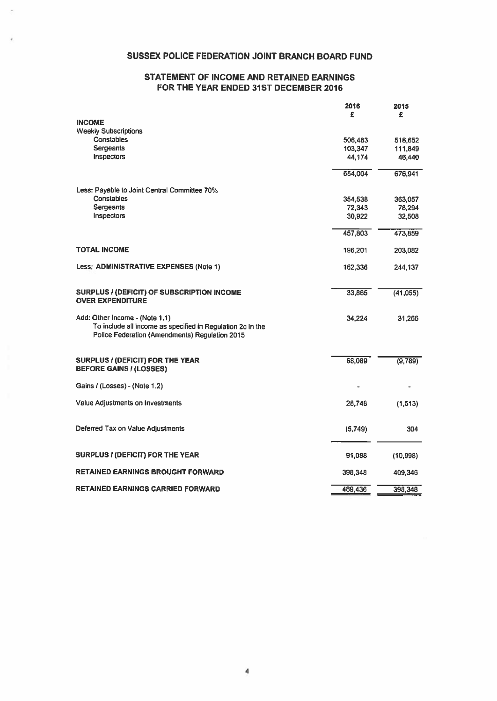## SUSSEX POLICE FEDERATION JOINT BRANCH BOARD FUND

## STATEMENT OF INCOME AND RETAINED EARNINGS FOR THE YEAR ENDED 31ST DECEMBER 2016

|                                                                                                                                                | 2016<br>£ | 2015<br>£ |
|------------------------------------------------------------------------------------------------------------------------------------------------|-----------|-----------|
| <b>INCOME</b>                                                                                                                                  |           |           |
| <b>Weekly Subscriptions</b>                                                                                                                    |           |           |
| Constables                                                                                                                                     | 506,483   | 518,652   |
| Sergeants                                                                                                                                      | 103,347   | 111,849   |
| <b>Inspectors</b>                                                                                                                              | 44.174    | 46,440    |
|                                                                                                                                                | 654,004   | 676,941   |
| Less: Payable to Joint Central Committee 70%                                                                                                   |           |           |
| Constables                                                                                                                                     | 354,538   | 363,057   |
| Sergeants                                                                                                                                      | 72,343    | 78.294    |
| Inspectors                                                                                                                                     | 30,922    | 32,508    |
|                                                                                                                                                | 457,803   | 473,859   |
| TOTAL INCOME                                                                                                                                   | 196,201   | 203,082   |
| Less: ADMINISTRATIVE EXPENSES (Note 1)                                                                                                         | 162,336   | 244,137   |
| <b>SURPLUS / (DEFICIT) OF SUBSCRIPTION INCOME</b><br><b>OVER EXPENDITURE</b>                                                                   | 33,865    | (41,055)  |
| Add: Other Income - (Note 1.1)<br>To include all income as specified in Regulation 2c in the<br>Police Federation (Amendments) Regulation 2015 | 34,224    | 31,266    |
| <b>SURPLUS / (DEFICIT) FOR THE YEAR</b><br><b>BEFORE GAINS / (LOSSES)</b>                                                                      | 68,089    | (9,789)   |
| Gains / (Losses) - (Note 1.2)                                                                                                                  |           |           |
| Value Adjustments on Investments                                                                                                               | 28,748    | (1,513)   |
| Deferred Tax on Value Adjustments                                                                                                              | (5,749)   | 304       |
| <b>SURPLUS / (DEFICIT) FOR THE YEAR</b>                                                                                                        | 91,088    | (10,998)  |
| <b>RETAINED EARNINGS BROUGHT FORWARD</b>                                                                                                       | 398,348   | 409,346   |
| <b>RETAINED EARNINGS CARRIED FORWARD</b>                                                                                                       | 489,436   | 398,348   |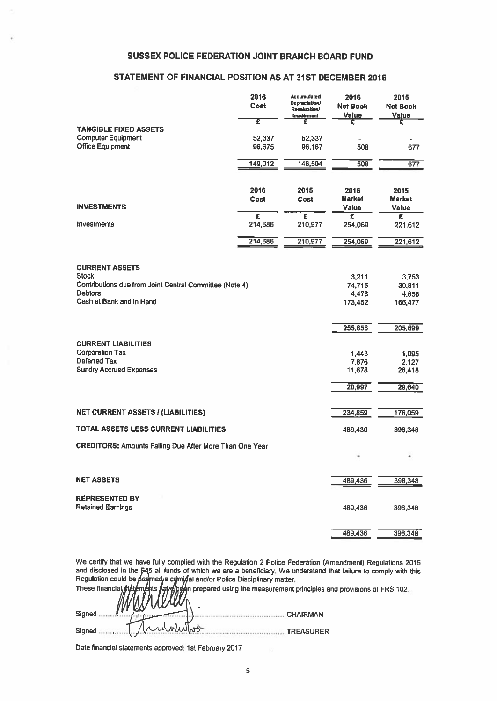## SUSSEX POLICE FEDERATION JOINT BRANCH BOARD FUND

## STATEMENT OF FINANCIAL POSITION AS AT 31ST DECEMBER 2016

| <b>SUSSEX POLICE FEDERATION JOINT BRANCH BOARD FUND</b>                                                                                        |                                  |                                                                                 |                                     |                                       |
|------------------------------------------------------------------------------------------------------------------------------------------------|----------------------------------|---------------------------------------------------------------------------------|-------------------------------------|---------------------------------------|
| STATEMENT OF FINANCIAL POSITION AS AT 31ST DECEMBER 2016                                                                                       |                                  |                                                                                 |                                     |                                       |
|                                                                                                                                                | 2016<br>Cost                     | Accumulated<br><b>Depreciation/</b><br><b>Revaluation/</b><br><b>Impairment</b> | 2016<br><b>Net Book</b><br>Value    | 2015<br><b>Net Book</b><br>Value      |
| <b>TANGIBLE FIXED ASSETS</b><br><b>Computer Equipment</b><br><b>Office Equipment</b>                                                           | Έ<br>52,337<br>96,675            | £<br>52,337<br>96,167                                                           | £<br>٠<br>508                       | £<br>677                              |
|                                                                                                                                                | 149,012                          | 148,504                                                                         | 508                                 | 677                                   |
| <b>INVESTMENTS</b>                                                                                                                             | 2016<br>Cost                     | 2015<br>Cost                                                                    | 2016<br><b>Market</b><br>Value      | 2015<br><b>Market</b><br><b>Value</b> |
| <b>Investments</b>                                                                                                                             | $\overline{\epsilon}$<br>214,686 | £<br>210,977                                                                    | £<br>254,069                        | £<br>221,612                          |
|                                                                                                                                                | 214,686                          | 210,977                                                                         | 254,069                             | 221,612                               |
| <b>CURRENT ASSETS</b><br><b>Stock</b><br>Contributions due from Joint Central Committee (Note 4)<br><b>Debtors</b><br>Cash at Bank and in Hand |                                  |                                                                                 | 3,211<br>74,715<br>4,478<br>173,452 | 3,753<br>30,811<br>4,658<br>166,477   |
| <b>CURRENT LIABILITIES</b><br><b>Corporation Tax</b><br>Deferred Tax<br><b>Sundry Accrued Expenses</b>                                         |                                  |                                                                                 | 255,856<br>1,443<br>7,876<br>11,678 | 205,699<br>1,095<br>2,127<br>26,418   |
|                                                                                                                                                |                                  |                                                                                 | 20,997                              | 29,640                                |
| <b>NET CURRENT ASSETS / (LIABILITIES)</b>                                                                                                      |                                  |                                                                                 | 234,859                             | 176,059                               |
| TOTAL ASSETS LESS CURRENT LIABILITIES                                                                                                          |                                  |                                                                                 | 489,436                             | 398,348                               |
| <b>CREDITORS: Amounts Falling Due After More Than One Year</b>                                                                                 |                                  |                                                                                 |                                     |                                       |
| <b>NET ASSETS</b>                                                                                                                              |                                  |                                                                                 | 489,436                             | 398,348                               |
| <b>REPRESENTED BY</b><br><b>Retained Earnings</b>                                                                                              |                                  |                                                                                 | 489,436                             | 398,348                               |
|                                                                                                                                                |                                  |                                                                                 | 489,436                             | 398,348                               |

We certify that we have fully complied with the Regulation <sup>2</sup> Police Federation (Amendment) Regulations <sup>2015</sup> and disclosed in the 545 all funds of which we are a beneficiary. We understand that failure to comply with this Regulation could be deemed a crimidal and/or Police Disciplinary matter.

|                      | These financial strate in the strategies of FRS 102 |
|----------------------|-----------------------------------------------------|
| Signed               | <b>CHAIRMAN</b>                                     |
| capabashos<br>Signed | <b>TREASURER</b>                                    |

Date financial stalements approved: 1st February <sup>2017</sup>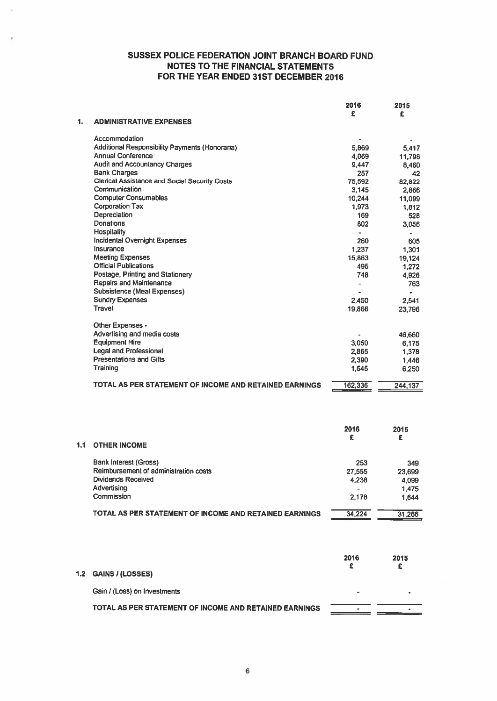|                                                        | 2016    | 2015    |
|--------------------------------------------------------|---------|---------|
| <b>ADMINISTRATIVE EXPENSES</b>                         | £       | £       |
| Accommodation                                          |         |         |
| Additional Responsibility Payments (Honoraria)         | 5,869   | 5.417   |
| <b>Annual Conference</b>                               | 4,069   | 11,798  |
| <b>Audit and Accountancy Charges</b>                   | 9,447   | 8.460   |
| <b>Bank Charges</b>                                    | 257     | 42      |
| <b>Clerical Assistance and Social Security Costs</b>   | 75,592  | 82.822  |
| Communication                                          | 3,145   | 2.866   |
| <b>Computer Consumables</b>                            | 10,244  | 11,099  |
| <b>Corporation Tax</b>                                 | 1,973   | 1,812   |
| Depreciation                                           | 169     | 528     |
| Donations                                              | 802     | 3,056   |
| <b>Hospitality</b>                                     |         |         |
| <b>Incidental Overnight Expenses</b>                   | 260     | 605     |
| Insurance                                              | 1,237   | 1.301   |
| <b>Meeting Expenses</b>                                | 15,863  | 19.124  |
| <b>Official Publications</b>                           | 495     | 1.272   |
| Postage, Printing and Stationery                       | 748     | 4.926   |
| <b>Repairs and Maintenance</b>                         | ä,      | 763     |
| <b>Subsistence (Meal Expenses)</b>                     |         |         |
| <b>Sundry Expenses</b>                                 | 2,450   | 2,541   |
| Travel                                                 | 19,866  | 23,796  |
| Other Expenses -                                       |         |         |
| Advertising and media costs                            |         | 46,660  |
| <b>Equipment Hire</b>                                  | 3,050   | 6.175   |
| <b>Legal and Professional</b>                          | 2,865   | 1.378   |
| <b>Presentations and Gifts</b>                         | 2,390   | 1.446   |
| Training                                               | 1,545   | 6,250   |
| TOTAL AS PER STATEMENT OF INCOME AND RETAINED EARNINGS | 162,336 | 244,137 |

|     |                                                        | 2016<br>£ | 2015<br>£ |
|-----|--------------------------------------------------------|-----------|-----------|
| 1.1 | <b>OTHER INCOME</b>                                    |           |           |
|     | <b>Bank Interest (Gross)</b>                           | 253       | 349       |
|     | Reimbursement of administration costs                  | 27,555    | 23.699    |
|     | <b>Dividends Received</b>                              | 4.238     | 4.099     |
|     | Advertising                                            |           | 1.475     |
|     | Commission                                             | 2.178     | 1,644     |
|     | TOTAL AS PER STATEMENT OF INCOME AND RETAINED EARNINGS | 34.224    | 31.266    |

|                                                        | 2016 | 2015 |
|--------------------------------------------------------|------|------|
| I.2 GAINS / (LOSSES)                                   |      |      |
| Gain / (Loss) on Investments                           | -    |      |
| TOTAL AS PER STATEMENT OF INCOME AND RETAINED EARNINGS | ٠    |      |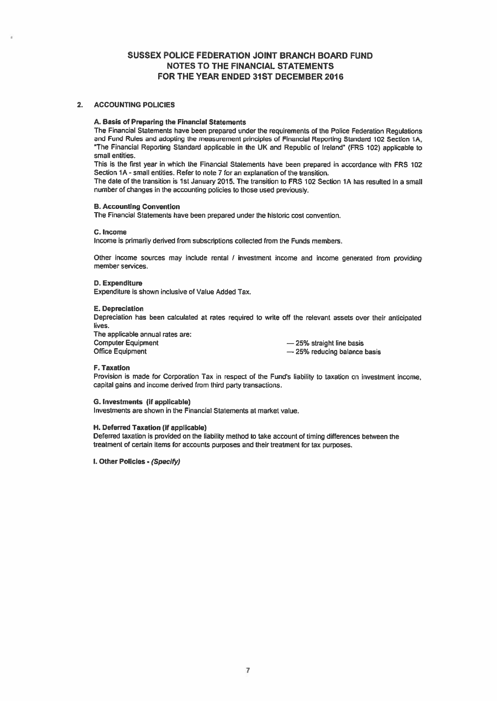## 2. ACCOUNTING POLICIES

## A. Basis of Preparing the Financial Statements

The Financial Statements have been prepared under the requirements of the Police Federation Regulations and Fund Rules and adopting the measurement principles of Financial Reporting Standard 102 Section 1A, 'The Financial Reporting Standard applicable in the UK and Republic of Ireland' (FRS 102) applicable to small entities.

This is the first year in which the Financial Statements have been prepare<sup>d</sup> in accordance with FRS <sup>102</sup> Section 1A -small entities. Refer to note 7 for an explanation of the transition.

The date of the transition is 1st January 2015. The transition to FRS 102 Section 1A has resulted in <sup>a</sup> small number of changes in the accounting policies to those used previously.

## B. Accounting Convention

The Financial Statements have been prepared under the historic cost convention.

#### C. Income

Income is primarily derived from subscriptions collected from the Funds members.

Other income sources may include rental / investment income and income generated from providing member services.

## 0. Expenditure

Expenditure is shown inclusive of Value Added Tax.

#### E. Depreciation

Depreciation has been calculated at rates required to write off the relevant assets over their anticipated lives.

The applicable annual rates are: Computer Equipment — 25% straight line basis<br>
Office Equipment — 25% reducing balance

 $-25%$  reducing balance basis

## F. Taxation

Provision is made for Corporation Tax in respect of the Fund's liability to taxation on investment income, capital gains and income derived from third party transactions.

## C. Investments (if applicable)

Investments are shown in the Financial Statements at market value.

### H. Deferred Taxation (if applicable)

Deferred taxation is provided on the liability method to take account of timing differences between the treatment of certain items for accounts purposes and their treatment for tax purposes.

I. Other Policies - (Specify)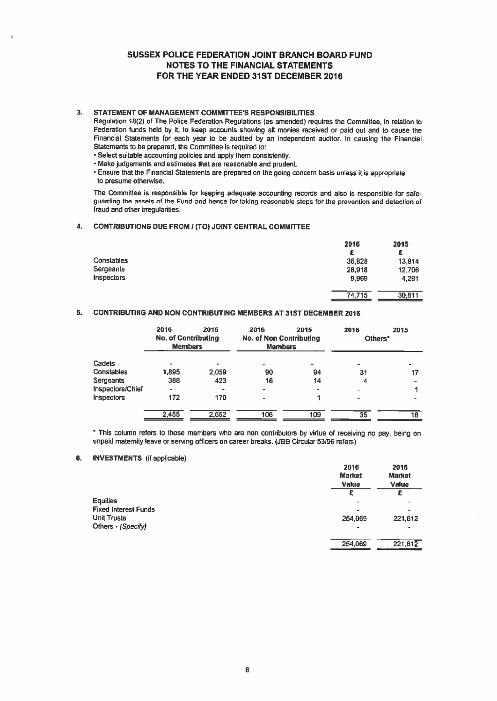## 3. STATEMENT OF MANAGEMENT COMMITTEE'S RESPONSIBILITIES

- Select suitable accounting policies and apply them consistently.
- Make judgements and estimates that are reasonable and prudent.

## 4. CONTRIBUTIONS DUE FROM / (TO) JOINT CENTRAL COMMITTEE

|                                                                                                                                                                                                                                                                                                                                                                                                                                                                                                                                                                                                                                                                                                                               |                                               |      | <b>SUSSEX POLICE FEDERATION JOINT BRANCH BOARD FUND</b><br><b>NOTES TO THE FINANCIAL STATEMENTS</b><br>FOR THE YEAR ENDED 31ST DECEMBER 2016 |      |                                        |                                        |
|-------------------------------------------------------------------------------------------------------------------------------------------------------------------------------------------------------------------------------------------------------------------------------------------------------------------------------------------------------------------------------------------------------------------------------------------------------------------------------------------------------------------------------------------------------------------------------------------------------------------------------------------------------------------------------------------------------------------------------|-----------------------------------------------|------|----------------------------------------------------------------------------------------------------------------------------------------------|------|----------------------------------------|----------------------------------------|
| STATEMENT OF MANAGEMENT COMMITTEE'S RESPONSIBILITIES<br>Regulation 18(2) of The Police Federation Regulations (as amended) requires the Committee, in relation to<br>Federation funds held by it, to keep accounts showing all monies received or paid out and to cause the<br>Financial Statements for each year to be audited by an independent auditor. In causing the Financial<br>Statements to be prepared, the Committee is required to:<br>• Select suitable accounting policies and apply them consistently.<br>• Make judgements and estimates that are reasonable and prudent.<br>. Ensure that the Financial Statements are prepared on the going concern basis unless it is appropriate<br>to presume otherwise. |                                               |      |                                                                                                                                              |      |                                        |                                        |
| The Committee is responsible for keeping adequate accounting records and also is responsible for safe-<br>guarding the assets of the Fund and hence for taking reasonable steps for the prevention and detection of<br>fraud and other irregularities.                                                                                                                                                                                                                                                                                                                                                                                                                                                                        |                                               |      |                                                                                                                                              |      |                                        |                                        |
| <b>CONTRIBUTIONS DUE FROM / (TO) JOINT CENTRAL COMMITTEE</b>                                                                                                                                                                                                                                                                                                                                                                                                                                                                                                                                                                                                                                                                  |                                               |      |                                                                                                                                              |      |                                        |                                        |
| Constables<br>Sergeants<br>Inspectors                                                                                                                                                                                                                                                                                                                                                                                                                                                                                                                                                                                                                                                                                         |                                               |      |                                                                                                                                              |      | 2016<br>£<br>35.828<br>28,918<br>9.969 | 2015<br>£<br>13.814<br>12,706<br>4.291 |
|                                                                                                                                                                                                                                                                                                                                                                                                                                                                                                                                                                                                                                                                                                                               |                                               |      |                                                                                                                                              |      | 74,715                                 | 30,811                                 |
| <b>CONTRIBUTING AND NON CONTRIBUTING MEMBERS AT 31ST DECEMBER 2016</b>                                                                                                                                                                                                                                                                                                                                                                                                                                                                                                                                                                                                                                                        |                                               |      |                                                                                                                                              |      |                                        |                                        |
|                                                                                                                                                                                                                                                                                                                                                                                                                                                                                                                                                                                                                                                                                                                               | 2016<br><b>No. of Contributing</b><br>Members | 2015 | 2016<br><b>No. of Non Contributing</b><br><b>Members</b>                                                                                     | 2015 | 2016<br>Others*                        | 2015                                   |

## 5. CONTRIBUTING AND NON CONTRIBUTING MEMBERS AT 31ST DECEMBER 2016

|                   | 2016<br><b>No. of Contributing</b><br><b>Members</b> | 2015  | 2016<br><b>No. of Non Contributing</b><br><b>Members</b> | 2015 | 2016<br>Others* | 2015 |
|-------------------|------------------------------------------------------|-------|----------------------------------------------------------|------|-----------------|------|
| Cadets            |                                                      |       |                                                          | ۰    |                 |      |
| Constables        | 1,895                                                | 2.059 | 90                                                       | 94   | 31              |      |
| Sergeants         | 388                                                  | 423   | 16                                                       | 14   | 4               |      |
| Inspectors/Chief  |                                                      | ٠     | -                                                        |      |                 |      |
| <b>Inspectors</b> | 172                                                  | 170   | ٠                                                        |      | $\blacksquare$  |      |
|                   | 2,455                                                | 2,652 | 106                                                      | 109  | 35              | 18   |
|                   |                                                      |       |                                                          |      |                 |      |

\* This column refers to those members who are non contributors by virtue of receiving no pay, being on unpaid maternity leave or serving officers on career breaks. (JEB Circular 53/96 refers)

## 6. INVESTMENTS (if applicable)

|                             | 2016<br><b>Market</b>    | 2015<br><b>Market</b> |
|-----------------------------|--------------------------|-----------------------|
|                             | Value                    | <b>Value</b>          |
|                             |                          | £                     |
| <b>Equities</b>             | $\overline{\phantom{a}}$ | ۰                     |
| <b>Fixed Interest Funds</b> | -                        | ۰                     |
| <b>Unit Trusts</b>          | 254,069                  | 221,612               |
| Others - (Specify)          | -                        | -                     |
|                             | 254,069                  | 221,612               |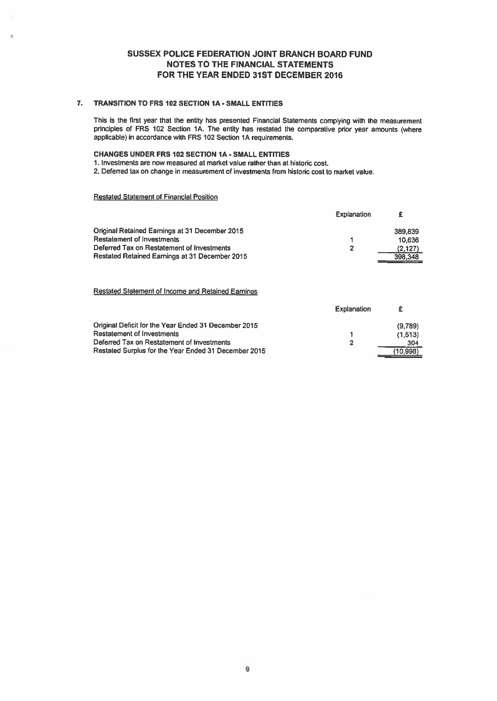## 7. TRANSITION TO FRS 102 SECTION IA - SMALL ENTITIES

This is the first year that the entity has presented Financial Statements complying with the measurement principles of FRS 102 Section 1A. The entity has restated the comparative prior year amounts (where applicable) in accordance with FRS 102 Section 1A requirements.

## CHANGES UNDER FRS 102 SECTION IA - SMALL ENTITIES

1. Investments are now measured at market value rather than at historic cost.

2. Deferred tax on change in measurement of investments from historic cost to market value.

## Restated Statement of Financial Position

|                                                | Explanation | £        |
|------------------------------------------------|-------------|----------|
| Original Retained Earnings at 31 December 2015 |             | 389.839  |
| <b>Restatement of Investments</b>              |             | 10.636   |
| Deferred Tax on Restatement of Investments     | 2           | (2, 127) |
| Restated Retained Earnings at 31 December 2015 |             | 398.348  |

## Restated Statement of Income and Retained Eamings

|                                                      | Explanation |          |
|------------------------------------------------------|-------------|----------|
| Original Deficit for the Year Ended 31 December 2015 |             | (9,789)  |
| <b>Restatement of Investments</b>                    |             | (1.513)  |
| Deferred Tax on Restatement of Investments           |             | 304      |
| Restated Surplus for the Year Ended 31 December 2015 |             | (10.998) |